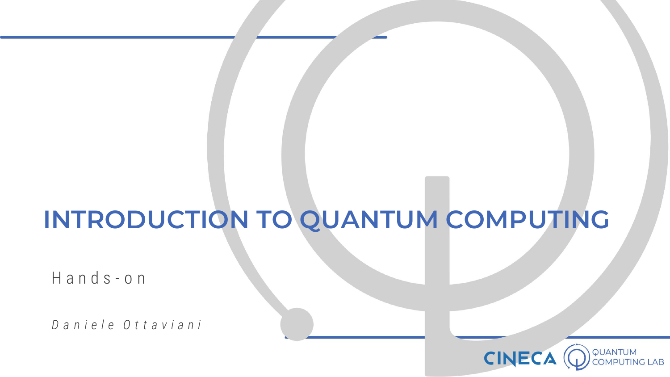# **INTRODUCTION TO QUANTUM COMPUTING**

H a n d s - o n

*D a n i e l e O t t a v i a n i*

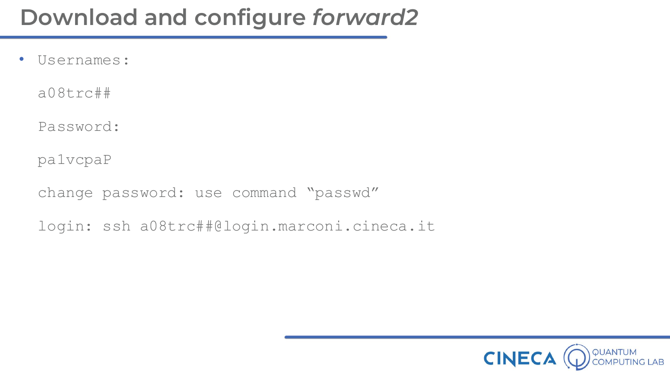• Usernames:

a08trc##

Password:

pa1vcpaP

change password: use command "passwd"

login: ssh a08trc##@login.marconi.cineca.it

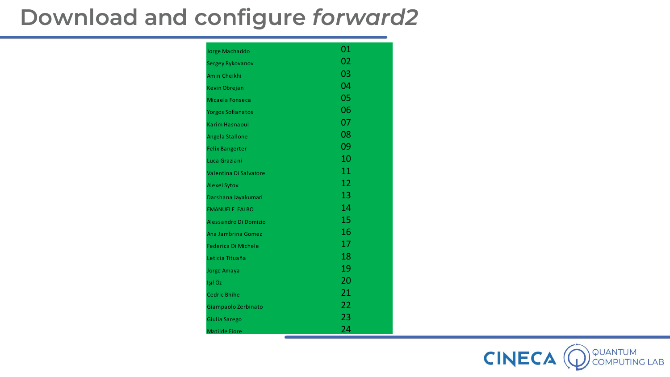| Jorge Machaddo             | 01 |
|----------------------------|----|
| Sergey Rykovanov           | 02 |
| Amin Cheikhi               | 03 |
| Kevin Obrejan              | 04 |
| Micaela Fonseca            | 05 |
| <b>Yorgos Sofianatos</b>   | 06 |
| <b>Karim Hasnaoui</b>      | 07 |
| Angela Stallone            | 08 |
| <b>Felix Bangerter</b>     | 09 |
| Luca Graziani              | 10 |
| Valentina Di Salvatore     | 11 |
| Alexei Sytov               | 12 |
| Darshana Jayakumari        | 13 |
| <b>EMANUELE FALBO</b>      | 14 |
| Alessandro Di Domizio      | 15 |
| Ana Jambrina Gomez         | 16 |
| <b>Federica Di Michele</b> | 17 |
| Leticia Tituaña            | 18 |
| Jorge Amaya                | 19 |
| Işıl Öz                    | 20 |
| <b>Cedric Bhihe</b>        | 21 |
| Giampaolo Zerbinato        | 22 |
| Giulia Sarego              | 23 |
| <b>Matilde Fiore</b>       | 24 |

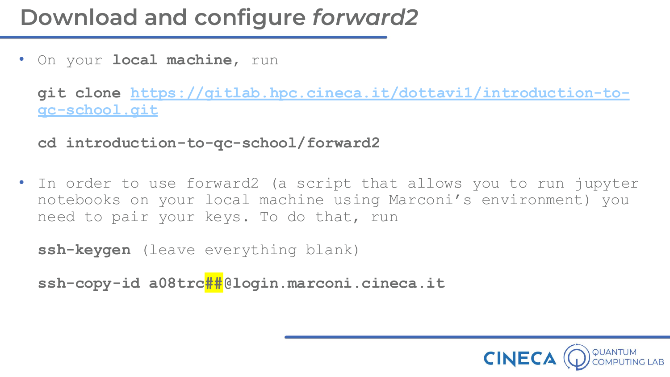• On your **local machine**, run

**[git clone https://gitlab.hpc.cineca.it/dottavi1/introduction-to](https://gitlab.hpc.cineca.it/dottavi1/introduction-to-qc-school.git)qc-school.git**

**cd introduction-to-qc-school/forward2**

• In order to use forward2 (a script that allows you to run jupyter notebooks on your local machine using Marconi's environment) you need to pair your keys. To do that, run

**ssh-keygen** (leave everything blank)

**ssh-copy-id a08trc##@login.marconi.cineca.it**

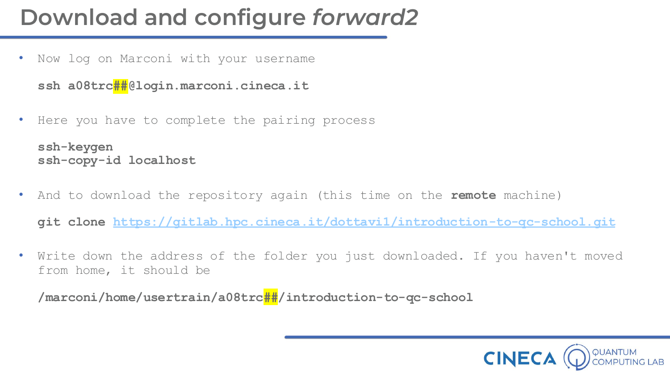Now log on Marconi with your username

```
ssh a08trc##@login.marconi.cineca.it
```
Here you have to complete the pairing process

```
ssh-keygen
ssh-copy-id localhost
```
• And to download the repository again (this time on the **remote** machine)

**git clone <https://gitlab.hpc.cineca.it/dottavi1/introduction-to-qc-school.git>**

Write down the address of the folder you just downloaded. If you haven't moved from home, it should be

**/marconi/home/usertrain/a08trc##/introduction-to-qc-school**

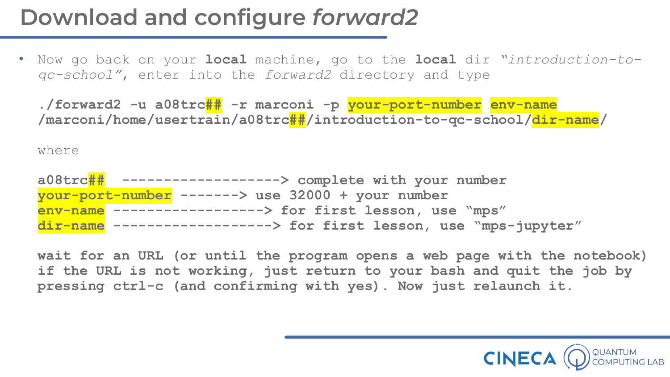• Now go back on your **local** machine, go to the **local** dir *"introduction-toqc-school"*, enter into the *forward2* directory and type

**./forward2 -u a08trc## -r marconi -p your-port-number env-name /marconi/home/usertrain/a08trc##/introduction-to-qc-school/dir-name/**

where

| a08trc## -------------------> complete with your number           |
|-------------------------------------------------------------------|
| your-port-number -------> use 32000 + your number                 |
| env-name ------------------> for first lesson, use "mps"          |
| dir-name -------------------> for first lesson, use "mps-jupyter" |

**wait for an URL (or until the program opens a web page with the notebook) if the URL is not working, just return to your bash and quit the job by pressing ctrl-c (and confirming with yes). Now just relaunch it.**

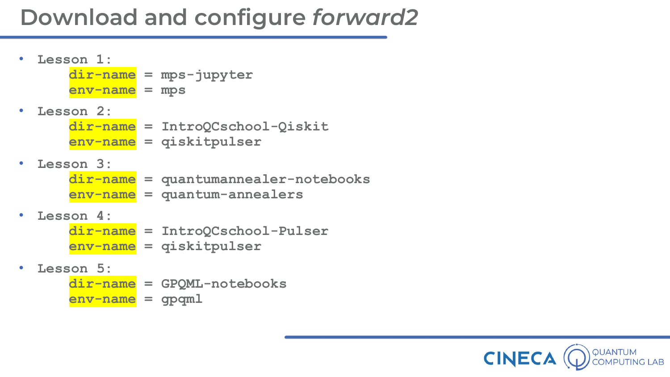• **Lesson 1: dir-name = mps-jupyter env-name = mps** • **Lesson 2: dir-name = IntroQCschool-Qiskit env-name = qiskitpulser**

#### • **Lesson 3:**

**dir-name = quantumannealer-notebooks env-name = quantum-annealers**

#### • **Lesson 4:**

- **dir-name = IntroQCschool-Pulser env-name = qiskitpulser**
- **Lesson 5:**
	- **dir-name = GPQML-notebooks**
	- **env-name = gpqml**

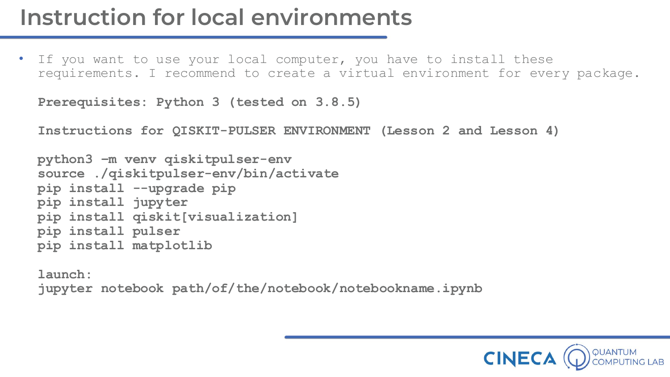# **Instruction for local environments**

• If you want to use your local computer, you have to install these requirements. I recommend to create a virtual environment for every package.

```
Prerequisites: Python 3 (tested on 3.8.5)
```
**Instructions for QISKIT-PULSER ENVIRONMENT (Lesson 2 and Lesson 4)**

```
python3 –m venv qiskitpulser-env
source ./qiskitpulser-env/bin/activate 
pip install --upgrade pip 
pip install jupyter
pip install qiskit[visualization]
pip install pulser
pip install matplotlib
```
**launch: jupyter notebook path/of/the/notebook/notebookname.ipynb**

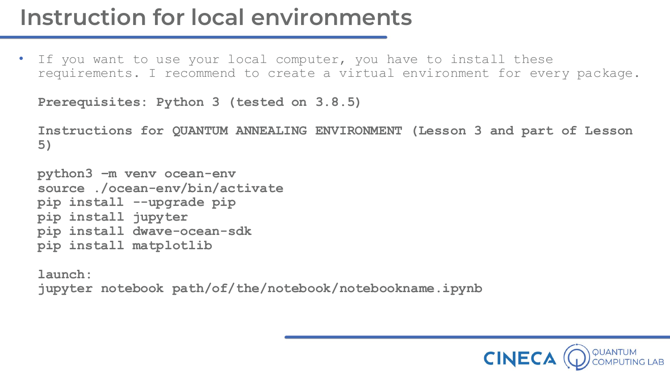# **Instruction for local environments**

• If you want to use your local computer, you have to install these requirements. I recommend to create a virtual environment for every package.

```
Prerequisites: Python 3 (tested on 3.8.5)
```
**Instructions for QUANTUM ANNEALING ENVIRONMENT (Lesson 3 and part of Lesson 5)**

```
python3 –m venv ocean-env
source ./ocean-env/bin/activate 
pip install --upgrade pip 
pip install jupyter
pip install dwave-ocean-sdk
pip install matplotlib
```
**launch: jupyter notebook path/of/the/notebook/notebookname.ipynb**